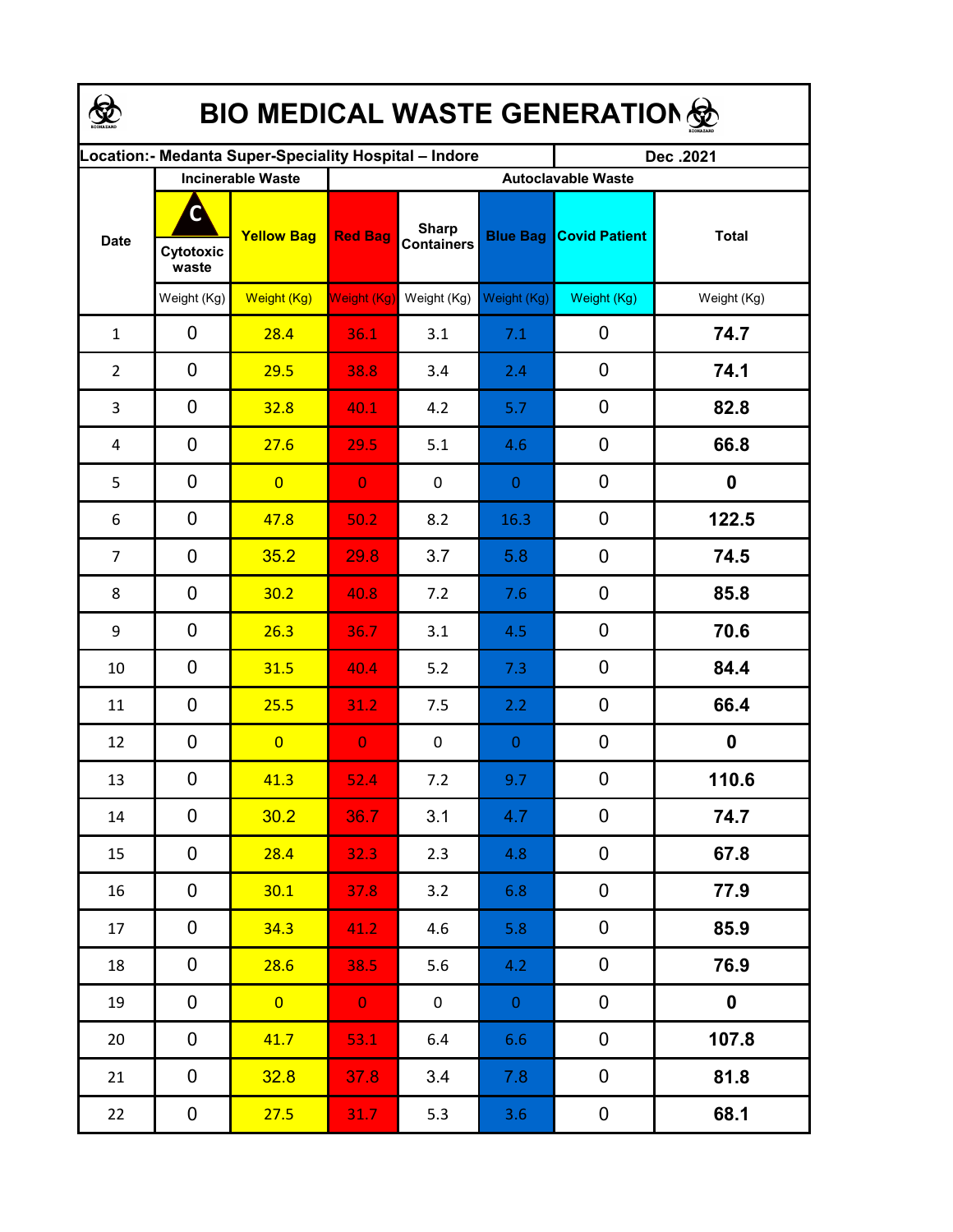| <b>BIO MEDICAL WASTE GENERATION </b> |                          |                                                       |                           |                                   |                  |                      |                  |  |  |  |
|--------------------------------------|--------------------------|-------------------------------------------------------|---------------------------|-----------------------------------|------------------|----------------------|------------------|--|--|--|
|                                      |                          | ocation: - Medanta Super-Speciality Hospital - Indore |                           |                                   |                  | Dec.2021             |                  |  |  |  |
|                                      | <b>Incinerable Waste</b> |                                                       | <b>Autoclavable Waste</b> |                                   |                  |                      |                  |  |  |  |
| <b>Date</b>                          | C<br>Cytotoxic<br>waste  | <b>Yellow Bag</b>                                     | <b>Red Bag</b>            | <b>Sharp</b><br><b>Containers</b> | <b>Blue Bag</b>  | <b>Covid Patient</b> | <b>Total</b>     |  |  |  |
|                                      | Weight (Kg)              | Weight (Kg)                                           | <b>Weight (Kg)</b>        | Weight (Kg)                       | Weight (Kg)      | Weight (Kg)          | Weight (Kg)      |  |  |  |
| $\mathbf{1}$                         | 0                        | 28.4                                                  | 36.1                      | 3.1                               | 7.1              | 0                    | 74.7             |  |  |  |
| $\overline{2}$                       | $\overline{0}$           | 29.5                                                  | 38.8                      | 3.4                               | 2.4              | 0                    | 74.1             |  |  |  |
| 3                                    | 0                        | 32.8                                                  | 40.1                      | 4.2                               | 5.7              | $\mathbf 0$          | 82.8             |  |  |  |
| 4                                    | 0                        | 27.6                                                  | 29.5                      | 5.1                               | 4.6              | 0                    | 66.8             |  |  |  |
| 5                                    | 0                        | $\overline{0}$                                        | $\overline{0}$            | $\mathbf 0$                       | $\mathbf{0}$     | $\mathbf 0$          | 0                |  |  |  |
| 6                                    | 0                        | 47.8                                                  | 50.2                      | 8.2                               | 16.3             | $\mathbf 0$          | 122.5            |  |  |  |
| 7                                    | 0                        | 35.2                                                  | 29.8                      | 3.7                               | 5.8              | $\mathbf 0$          | 74.5             |  |  |  |
| 8                                    | 0                        | 30.2                                                  | 40.8                      | 7.2                               | 7.6              | $\mathbf 0$          | 85.8             |  |  |  |
| 9                                    | 0                        | 26.3                                                  | 36.7                      | 3.1                               | 4.5              | $\mathbf 0$          | 70.6             |  |  |  |
| 10                                   | 0                        | 31.5                                                  | 40.4                      | 5.2                               | 7.3              | $\mathbf 0$          | 84.4             |  |  |  |
| 11                                   | 0                        | 25.5                                                  | 31.2                      | 7.5                               | 2.2              | $\mathbf 0$          | 66.4             |  |  |  |
| 12                                   | 0                        | $\overline{0}$                                        | $\bf{0}$                  | 0                                 | $\boldsymbol{0}$ | $\mathbf 0$          | $\boldsymbol{0}$ |  |  |  |
| 13                                   | 0                        | 41.3                                                  | 52.4                      | 7.2                               | 9.7              | 0                    | 110.6            |  |  |  |
| 14                                   | 0                        | 30.2                                                  | 36.7                      | 3.1                               | 4.7              | 0                    | 74.7             |  |  |  |
| 15                                   | 0                        | 28.4                                                  | 32.3                      | 2.3                               | 4.8              | $\mathbf 0$          | 67.8             |  |  |  |
| 16                                   | 0                        | 30.1                                                  | 37.8                      | 3.2                               | 6.8              | $\pmb{0}$            | 77.9             |  |  |  |
| 17                                   | $\mathbf 0$              | 34.3                                                  | 41.2                      | 4.6                               | 5.8              | $\pmb{0}$            | 85.9             |  |  |  |
| 18                                   | $\mathbf 0$              | 28.6                                                  | 38.5                      | 5.6                               | 4.2              | $\pmb{0}$            | 76.9             |  |  |  |
| 19                                   | $\mathbf 0$              | $\overline{0}$                                        | $\mathbf{0}$              | $\mathbf 0$                       | $\overline{0}$   | $\pmb{0}$            | $\boldsymbol{0}$ |  |  |  |
| 20                                   | 0                        | 41.7                                                  | 53.1                      | 6.4                               | 6.6              | $\pmb{0}$            | 107.8            |  |  |  |
| 21                                   | 0                        | 32.8                                                  | 37.8                      | 3.4                               | 7.8              | $\pmb{0}$            | 81.8             |  |  |  |
| 22                                   | $\mathbf 0$              | 27.5                                                  | 31.7                      | 5.3                               | 3.6              | $\pmb{0}$            | 68.1             |  |  |  |